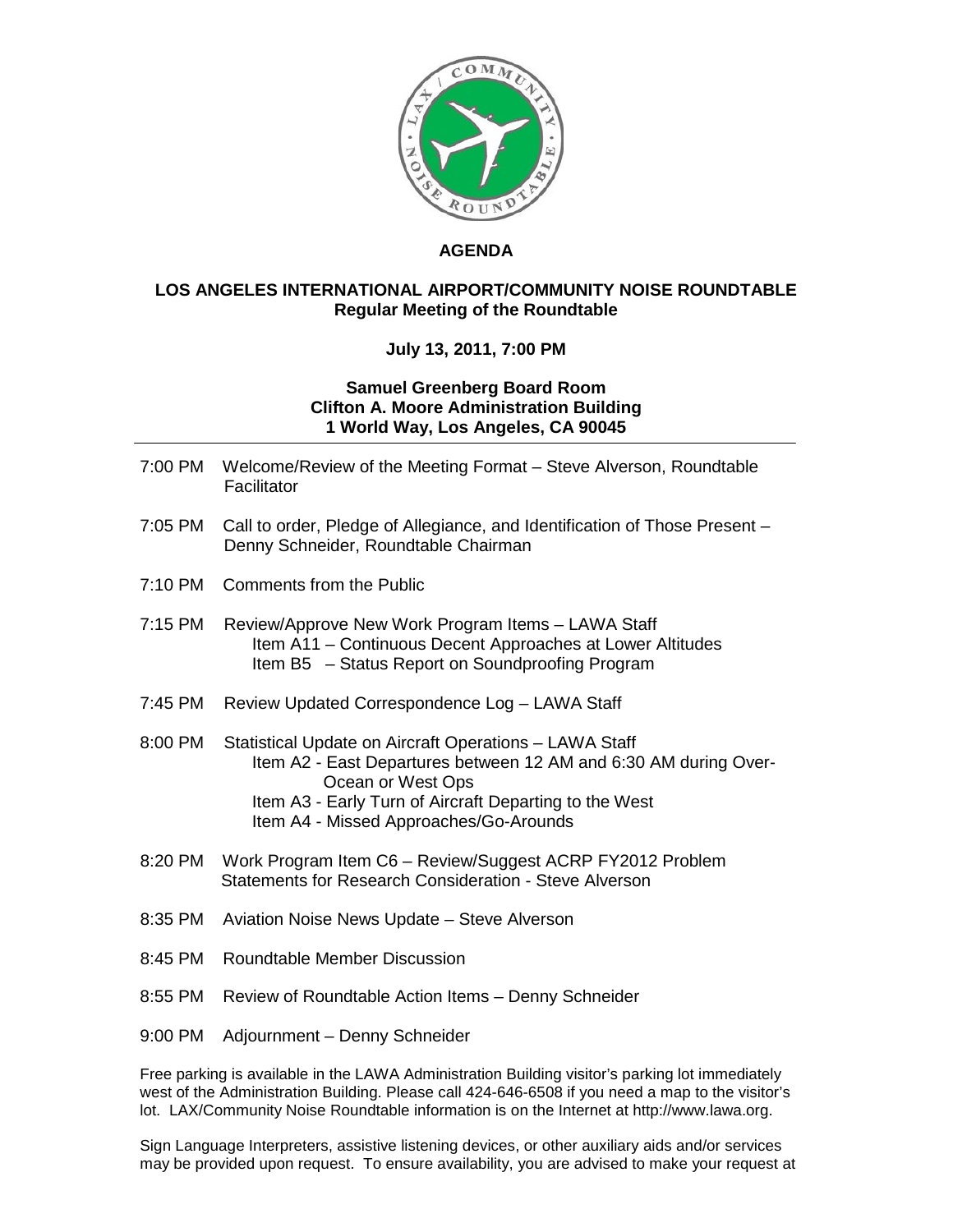

## **AGENDA**

## **LOS ANGELES INTERNATIONAL AIRPORT/COMMUNITY NOISE ROUNDTABLE Regular Meeting of the Roundtable**

## **July 13, 2011, 7:00 PM**

## **Samuel Greenberg Board Room Clifton A. Moore Administration Building 1 World Way, Los Angeles, CA 90045**

|         | 7:00 PM Welcome/Review of the Meeting Format – Steve Alverson, Roundtable<br>Facilitator                                                                                                                                                            |
|---------|-----------------------------------------------------------------------------------------------------------------------------------------------------------------------------------------------------------------------------------------------------|
| 7:05 PM | Call to order, Pledge of Allegiance, and Identification of Those Present -<br>Denny Schneider, Roundtable Chairman                                                                                                                                  |
| 7:10 PM | <b>Comments from the Public</b>                                                                                                                                                                                                                     |
| 7:15 PM | Review/Approve New Work Program Items - LAWA Staff<br>Item A11 - Continuous Decent Approaches at Lower Altitudes<br>Item B5 - Status Report on Soundproofing Program                                                                                |
| 7:45 PM | Review Updated Correspondence Log - LAWA Staff                                                                                                                                                                                                      |
| 8:00 PM | Statistical Update on Aircraft Operations - LAWA Staff<br>Item A2 - East Departures between 12 AM and 6:30 AM during Over-<br>Ocean or West Ops<br>Item A3 - Early Turn of Aircraft Departing to the West<br>Item A4 - Missed Approaches/Go-Arounds |
|         | Statements for Research Consideration - Steve Alverson                                                                                                                                                                                              |
| 8:35 PM | Aviation Noise News Update - Steve Alverson                                                                                                                                                                                                         |
| 8:45 PM | <b>Roundtable Member Discussion</b>                                                                                                                                                                                                                 |
| 8:55 PM | Review of Roundtable Action Items - Denny Schneider                                                                                                                                                                                                 |
| 9:00 PM | Adjournment - Denny Schneider                                                                                                                                                                                                                       |

Free parking is available in the LAWA Administration Building visitor's parking lot immediately west of the Administration Building. Please call 424-646-6508 if you need a map to the visitor's

Sign Language Interpreters, assistive listening devices, or other auxiliary aids and/or services may be provided upon request. To ensure availability, you are advised to make your request at

lot. LAX/Community Noise Roundtable information is on the Internet at http://www.lawa.org.